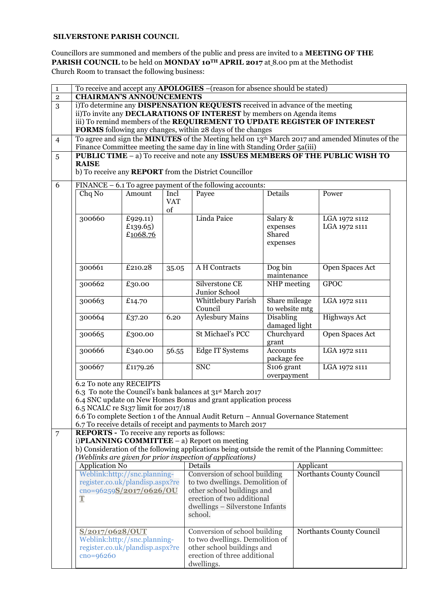## **SILVERSTONE PARISH COUNCI**L

Councillors are summoned and members of the public and press are invited to a **MEETING OF THE PARISH COUNCIL** to be held on **MONDAY 10TH APRIL 2017** at 8.00 pm at the Methodist Church Room to transact the following business:

| $\mathbf{1}$<br>$\overline{2}$ | <b>CHAIRMAN'S ANNOUNCEMENTS</b>                                                                                                           |                                                            |                  | To receive and accept any <b>APOLOGIES</b> -(reason for absence should be stated)  |                     |                          |                                                                               |  |  |
|--------------------------------|-------------------------------------------------------------------------------------------------------------------------------------------|------------------------------------------------------------|------------------|------------------------------------------------------------------------------------|---------------------|--------------------------|-------------------------------------------------------------------------------|--|--|
| 3                              |                                                                                                                                           |                                                            |                  | i)To determine any DISPENSATION REQUESTS received in advance of the meeting        |                     |                          |                                                                               |  |  |
|                                | ii)To invite any DECLARATIONS OF INTEREST by members on Agenda items                                                                      |                                                            |                  |                                                                                    |                     |                          |                                                                               |  |  |
|                                |                                                                                                                                           |                                                            |                  | iii) To remind members of the REQUIREMENT TO UPDATE REGISTER OF INTEREST           |                     |                          |                                                                               |  |  |
|                                |                                                                                                                                           | FORMS following any changes, within 28 days of the changes |                  |                                                                                    |                     |                          |                                                                               |  |  |
| $\overline{4}$                 | To agree and sign the <b>MINUTES</b> of the Meeting held on 13 <sup>th</sup> March 2017 and amended Minutes of the                        |                                                            |                  |                                                                                    |                     |                          |                                                                               |  |  |
|                                | Finance Committee meeting the same day in line with Standing Order 5a(iii)                                                                |                                                            |                  |                                                                                    |                     |                          |                                                                               |  |  |
| $\overline{5}$                 |                                                                                                                                           |                                                            |                  |                                                                                    |                     |                          | PUBLIC TIME - a) To receive and note any ISSUES MEMBERS OF THE PUBLIC WISH TO |  |  |
|                                | <b>RAISE</b>                                                                                                                              |                                                            |                  |                                                                                    |                     |                          |                                                                               |  |  |
|                                |                                                                                                                                           |                                                            |                  | b) To receive any <b>REPORT</b> from the District Councillor                       |                     |                          |                                                                               |  |  |
| 6                              | FINANCE - 6.1 To agree payment of the following accounts:                                                                                 |                                                            |                  |                                                                                    |                     |                          |                                                                               |  |  |
|                                | Chq No                                                                                                                                    | Amount                                                     | Incl             | Payee                                                                              | Details             |                          | Power                                                                         |  |  |
|                                |                                                                                                                                           |                                                            | <b>VAT</b><br>of |                                                                                    |                     |                          |                                                                               |  |  |
|                                | 300660                                                                                                                                    | £929.11)                                                   |                  | Linda Paice                                                                        | Salary &            |                          | LGA 1972 s112                                                                 |  |  |
|                                |                                                                                                                                           | £139.65)                                                   |                  |                                                                                    | expenses            |                          | LGA 1972 S111                                                                 |  |  |
|                                |                                                                                                                                           | £1068.76                                                   |                  |                                                                                    | Shared              |                          |                                                                               |  |  |
|                                |                                                                                                                                           |                                                            |                  |                                                                                    | expenses            |                          |                                                                               |  |  |
|                                |                                                                                                                                           |                                                            |                  |                                                                                    |                     |                          |                                                                               |  |  |
|                                | 300661                                                                                                                                    | £210.28                                                    | 35.05            | A H Contracts                                                                      | Dog bin             |                          | Open Spaces Act                                                               |  |  |
|                                |                                                                                                                                           |                                                            |                  |                                                                                    | maintenance         |                          |                                                                               |  |  |
|                                | 300662                                                                                                                                    | £30.00                                                     |                  | Silverstone CE                                                                     | NHP meeting         |                          | <b>GPOC</b>                                                                   |  |  |
|                                |                                                                                                                                           |                                                            |                  | Junior School                                                                      |                     |                          |                                                                               |  |  |
|                                | 300663                                                                                                                                    | £14.70                                                     |                  | Whittlebury Parish                                                                 | Share mileage       |                          | LGA 1972 s111                                                                 |  |  |
|                                |                                                                                                                                           |                                                            |                  | Council                                                                            | to website mtg      |                          |                                                                               |  |  |
|                                | 300664                                                                                                                                    | £37.20                                                     | 6.20             | Aylesbury Mains                                                                    | Disabling           |                          | <b>Highways Act</b>                                                           |  |  |
|                                |                                                                                                                                           |                                                            |                  |                                                                                    | damaged light       |                          |                                                                               |  |  |
|                                | 300665                                                                                                                                    | £300.00                                                    |                  | St Michael's PCC                                                                   | Churchyard<br>grant |                          | Open Spaces Act                                                               |  |  |
|                                | 300666                                                                                                                                    | £340.00                                                    | 56.55            | <b>Edge IT Systems</b>                                                             | <b>Accounts</b>     |                          | LGA 1972 s111                                                                 |  |  |
|                                |                                                                                                                                           |                                                            |                  |                                                                                    | package fee         |                          |                                                                               |  |  |
|                                | 300667                                                                                                                                    | £1179.26                                                   |                  | <b>SNC</b>                                                                         | S106 grant          |                          | LGA 1972 S111                                                                 |  |  |
|                                |                                                                                                                                           |                                                            |                  |                                                                                    | overpayment         |                          |                                                                               |  |  |
|                                | 6.2 To note any RECEIPTS                                                                                                                  |                                                            |                  |                                                                                    |                     |                          |                                                                               |  |  |
|                                | 6.3 To note the Council's bank balances at 31 <sup>st</sup> March 2017<br>6.4 SNC update on New Homes Bonus and grant application process |                                                            |                  |                                                                                    |                     |                          |                                                                               |  |  |
|                                | 6.5 NCALC re S137 limit for 2017/18                                                                                                       |                                                            |                  |                                                                                    |                     |                          |                                                                               |  |  |
|                                |                                                                                                                                           |                                                            |                  | 6.6 To complete Section 1 of the Annual Audit Return - Annual Governance Statement |                     |                          |                                                                               |  |  |
|                                |                                                                                                                                           |                                                            |                  | 6.7 To receive details of receipt and payments to March 2017                       |                     |                          |                                                                               |  |  |
| $\overline{7}$                 | <b>REPORTS</b> - To receive any reports as follows:                                                                                       |                                                            |                  |                                                                                    |                     |                          |                                                                               |  |  |
|                                |                                                                                                                                           |                                                            |                  | i) $PLANNING$ COMMITTEE $-$ a) Report on meeting                                   |                     |                          |                                                                               |  |  |
|                                | b) Consideration of the following applications being outside the remit of the Planning Committee:                                         |                                                            |                  |                                                                                    |                     |                          |                                                                               |  |  |
|                                | (Weblinks are given for prior inspection of applications)                                                                                 |                                                            |                  |                                                                                    |                     |                          |                                                                               |  |  |
|                                | <b>Application No</b><br>Weblink:http://snc.planning-                                                                                     |                                                            |                  | Details<br>Conversion of school building                                           |                     | Applicant                | Northants County Council                                                      |  |  |
|                                | register.co.uk/plandisp.aspx?re                                                                                                           |                                                            |                  | to two dwellings. Demolition of                                                    |                     |                          |                                                                               |  |  |
|                                | cno=96259S/2017/0626/OU                                                                                                                   |                                                            |                  | other school buildings and                                                         |                     |                          |                                                                               |  |  |
|                                | $\mathbf T$                                                                                                                               |                                                            |                  | erection of two additional                                                         |                     |                          |                                                                               |  |  |
|                                |                                                                                                                                           |                                                            |                  | dwellings - Silverstone Infants                                                    |                     |                          |                                                                               |  |  |
|                                |                                                                                                                                           |                                                            |                  | school.                                                                            |                     |                          |                                                                               |  |  |
|                                |                                                                                                                                           |                                                            |                  |                                                                                    |                     |                          |                                                                               |  |  |
|                                | S/2017/0628/OUT                                                                                                                           |                                                            |                  | Conversion of school building                                                      |                     | Northants County Council |                                                                               |  |  |
|                                | Weblink:http://snc.planning-                                                                                                              |                                                            |                  | to two dwellings. Demolition of                                                    |                     |                          |                                                                               |  |  |
|                                | register.co.uk/plandisp.aspx?re                                                                                                           |                                                            |                  | other school buildings and                                                         |                     |                          |                                                                               |  |  |
|                                | $cno=96260$                                                                                                                               |                                                            |                  | erection of three additional<br>dwellings.                                         |                     |                          |                                                                               |  |  |
|                                |                                                                                                                                           |                                                            |                  |                                                                                    |                     |                          |                                                                               |  |  |